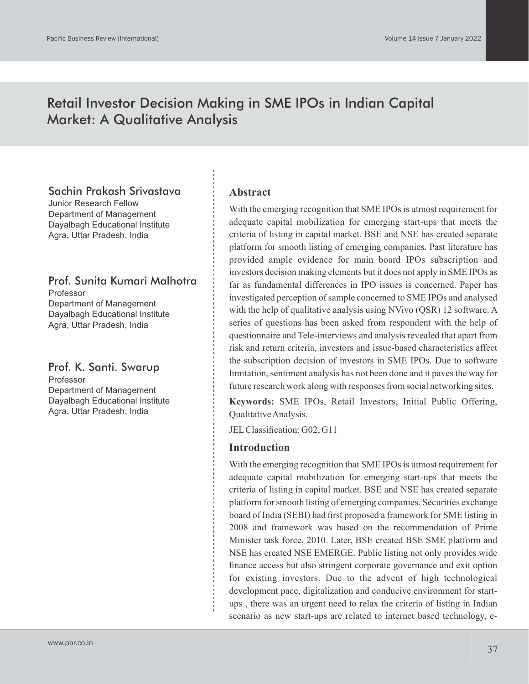## Retail Investor Decision Making in SME IPOs in Indian Capital Market: A Qualitative Analysis

## Sachin Prakash Srivastava

Junior Research Fellow Department of Management Dayalbagh Educational Institute Agra, Uttar Pradesh, India

## Prof. Sunita Kumari Malhotra

Professor Department of Management Dayalbagh Educational Institute Agra, Uttar Pradesh, India

Prof. K. Santi. Swarup Professor Department of Management Dayalbagh Educational Institute Agra, Uttar Pradesh, India

#### **Abstract**

With the emerging recognition that SME IPOs is utmost requirement for adequate capital mobilization for emerging start-ups that meets the criteria of listing in capital market. BSE and NSE has created separate platform for smooth listing of emerging companies. Past literature has provided ample evidence for main board IPOs subscription and investors decision making elements but it does not apply in SME IPOs as far as fundamental differences in IPO issues is concerned. Paper has investigated perception of sample concerned to SME IPOs and analysed with the help of qualitative analysis using NVivo (QSR) 12 software. A series of questions has been asked from respondent with the help of questionnaire and Tele-interviews and analysis revealed that apart from risk and return criteria, investors and issue-based characteristics affect the subscription decision of investors in SME IPOs. Due to software limitation, sentiment analysis has not been done and it paves the way for future research work along with responses from social networking sites.

**Keywords:** SME IPOs, Retail Investors, Initial Public Offering, Qualitative Analysis.

JELClassification: G02, G11

#### **Introduction**

With the emerging recognition that SME IPOs is utmost requirement for adequate capital mobilization for emerging start-ups that meets the criteria of listing in capital market. BSE and NSE has created separate platform for smooth listing of emerging companies. Securities exchange board of India (SEBI) had first proposed a framework for SME listing in 2008 and framework was based on the recommendation of Prime Minister task force, 2010. Later, BSE created BSE SME platform and NSE has created NSE EMERGE. Public listing not only provides wide finance access but also stringent corporate governance and exit option for existing investors. Due to the advent of high technological development pace, digitalization and conducive environment for startups , there was an urgent need to relax the criteria of listing in Indian scenario as new start-ups are related to internet based technology, e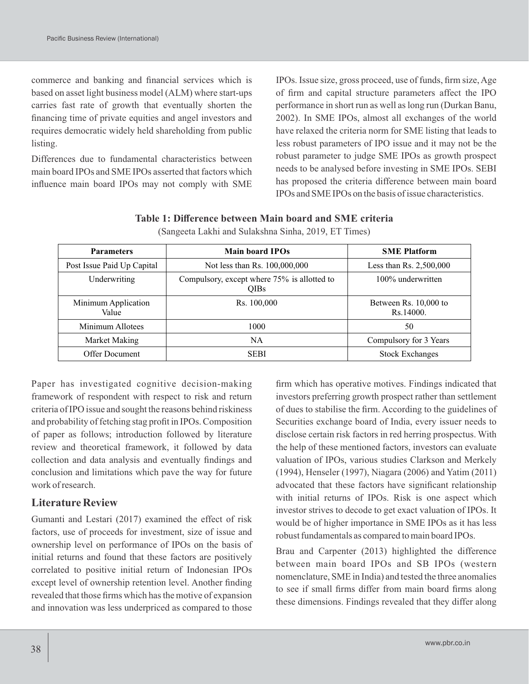commerce and banking and financial services which is based on asset light business model (ALM) where start-ups carries fast rate of growth that eventually shorten the financing time of private equities and angel investors and requires democratic widely held shareholding from public listing.

Differences due to fundamental characteristics between main board IPOs and SME IPOs asserted that factors which influence main board IPOs may not comply with SME

IPOs. Issue size, gross proceed, use of funds, firm size, Age of firm and capital structure parameters affect the IPO performance in short run as well as long run (Durkan Banu, 2002). In SME IPOs, almost all exchanges of the world have relaxed the criteria norm for SME listing that leads to less robust parameters of IPO issue and it may not be the robust parameter to judge SME IPOs as growth prospect needs to be analysed before investing in SME IPOs. SEBI has proposed the criteria difference between main board IPOs and SME IPOs on the basis of issue characteristics.

#### **Table 1: Difference between Main board and SME criteria**  (Sangeeta Lakhi and Sulakshna Sinha, 2019, ET Times)

| <b>Parameters</b>            | <b>Main board IPOs</b>                                     | <b>SME Platform</b>                |
|------------------------------|------------------------------------------------------------|------------------------------------|
| Post Issue Paid Up Capital   | Not less than Rs. 100,000,000                              | Less than Rs. 2,500,000            |
| Underwriting                 | Compulsory, except where 75% is allotted to<br><b>OIBs</b> | 100% underwritten                  |
| Minimum Application<br>Value | Rs. 100,000                                                | Between Rs. 10,000 to<br>Rs.14000. |
| Minimum Allotees             | 1000                                                       | 50                                 |
| Market Making                | <b>NA</b>                                                  | Compulsory for 3 Years             |
| Offer Document               | <b>SEBI</b>                                                | <b>Stock Exchanges</b>             |

Paper has investigated cognitive decision-making framework of respondent with respect to risk and return criteria of IPO issue and sought the reasons behind riskiness and probability of fetching stag profit in IPOs. Composition of paper as follows; introduction followed by literature review and theoretical framework, it followed by data collection and data analysis and eventually findings and conclusion and limitations which pave the way for future work of research.

#### **Literature Review**

Gumanti and Lestari (2017) examined the effect of risk factors, use of proceeds for investment, size of issue and ownership level on performance of IPOs on the basis of initial returns and found that these factors are positively correlated to positive initial return of Indonesian IPOs except level of ownership retention level. Another finding revealed that those firms which has the motive of expansion and innovation was less underpriced as compared to those

firm which has operative motives. Findings indicated that investors preferring growth prospect rather than settlement of dues to stabilise the firm. According to the guidelines of Securities exchange board of India, every issuer needs to disclose certain risk factors in red herring prospectus. With the help of these mentioned factors, investors can evaluate valuation of IPOs, various studies Clarkson and Merkely (1994), Henseler (1997), Niagara (2006) and Yatim (2011) advocated that these factors have significant relationship with initial returns of IPOs. Risk is one aspect which investor strives to decode to get exact valuation of IPOs. It would be of higher importance in SME IPOs as it has less robust fundamentals as compared to main board IPOs.

Brau and Carpenter (2013) highlighted the difference between main board IPOs and SB IPOs (western nomenclature, SME in India) and tested the three anomalies to see if small firms differ from main board firms along these dimensions. Findings revealed that they differ along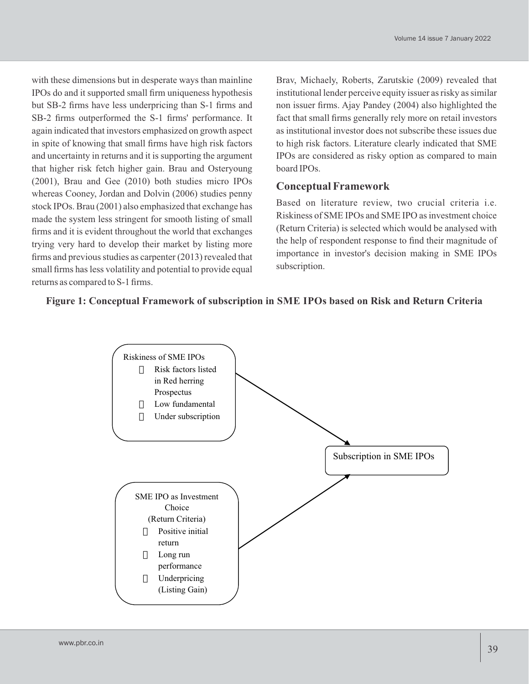with these dimensions but in desperate ways than mainline IPOs do and it supported small firm uniqueness hypothesis but SB-2 firms have less underpricing than S-1 firms and SB-2 firms outperformed the S-1 firms' performance. It again indicated that investors emphasized on growth aspect in spite of knowing that small firms have high risk factors and uncertainty in returns and it is supporting the argument that higher risk fetch higher gain. Brau and Osteryoung (2001), Brau and Gee (2010) both studies micro IPOs whereas Cooney, Jordan and Dolvin (2006) studies penny stock IPOs. Brau (2001) also emphasized that exchange has made the system less stringent for smooth listing of small firms and it is evident throughout the world that exchanges trying very hard to develop their market by listing more firms and previous studies as carpenter (2013) revealed that small firms has less volatility and potential to provide equal returns as compared to S-1 firms.

Brav, Michaely, Roberts, Zarutskie (2009) revealed that institutional lender perceive equity issuer as risky as similar non issuer firms. Ajay Pandey (2004) also highlighted the fact that small firms generally rely more on retail investors as institutional investor does not subscribe these issues due to high risk factors. Literature clearly indicated that SME IPOs are considered as risky option as compared to main board IPOs.

## **Conceptual Framework**

Based on literature review, two crucial criteria i.e. Riskiness of SME IPOs and SME IPO as investment choice (Return Criteria) is selected which would be analysed with the help of respondent response to find their magnitude of importance in investor's decision making in SME IPOs subscription.

## **Figure 1: Conceptual Framework of subscription in SME IPOs based on Risk and Return Criteria**

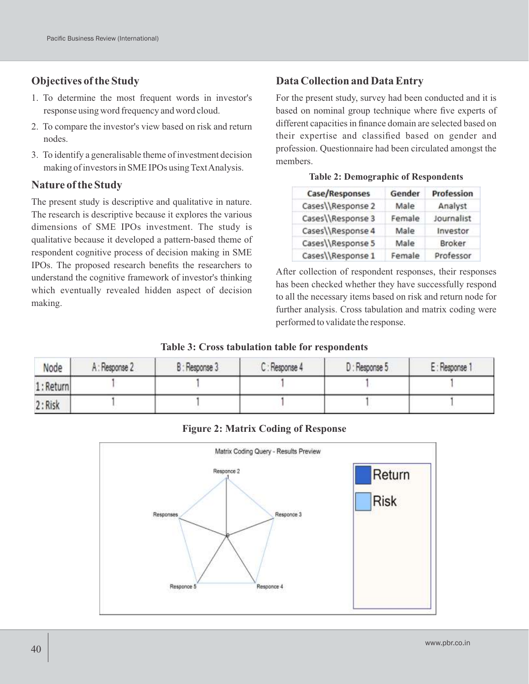## **Objectives of the Study**

- 1. To determine the most frequent words in investor's response using word frequency and word cloud.
- 2. To compare the investor's view based on risk and return nodes.
- 3. To identify a generalisable theme of investment decision making of investors in SME IPOs using Text Analysis.

### **Nature of the Study**

The present study is descriptive and qualitative in nature. The research is descriptive because it explores the various dimensions of SME IPOs investment. The study is qualitative because it developed a pattern-based theme of respondent cognitive process of decision making in SME IPOs. The proposed research benefits the researchers to understand the cognitive framework of investor's thinking which eventually revealed hidden aspect of decision making.

## **Data Collection and Data Entry**

For the present study, survey had been conducted and it is based on nominal group technique where five experts of different capacities in finance domain are selected based on their expertise and classified based on gender and profession. Questionnaire had been circulated amongst the members.

|  |  | <b>Table 2: Demographic of Respondents</b> |
|--|--|--------------------------------------------|
|--|--|--------------------------------------------|

| Case/Responses    | Gender | <b>Profession</b> |
|-------------------|--------|-------------------|
| Cases\\Response 2 | Male   | Analyst           |
| Cases\\Response 3 | Female | Journalist        |
| Cases\\Response 4 | Male   | Investor          |
| Cases\\Response 5 | Male   | Broker            |
| Cases\\Response 1 | Female | Professor         |

After collection of respondent responses, their responses has been checked whether they have successfully respond to all the necessary items based on risk and return node for further analysis. Cross tabulation and matrix coding were performed to validate the response.

#### **Table 3: Cross tabulation table for respondents**

| Node     | A: Response 2 | B: Response 3 | C: Response 4 | D: Response 5 | E: Response 1 |
|----------|---------------|---------------|---------------|---------------|---------------|
| 1:Return |               |               |               |               |               |
| 2: Risk  |               |               |               |               |               |

#### **Figure 2: Matrix Coding of Response**

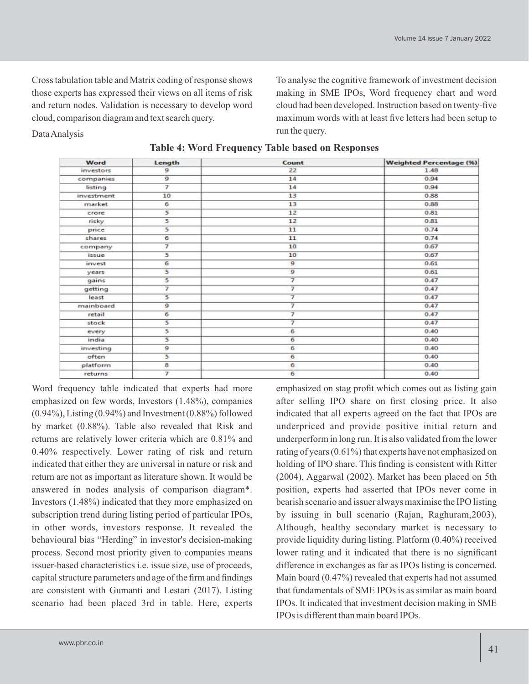Cross tabulation table and Matrix coding of response shows those experts has expressed their views on all items of risk and return nodes. Validation is necessary to develop word cloud, comparison diagram and text search query.

Data Analysis

To analyse the cognitive framework of investment decision making in SME IPOs, Word frequency chart and word cloud had been developed. Instruction based on twenty-five maximum words with at least five letters had been setup to run the query.

| Word       | Length                  | Count                    | <b>Weighted Percentage (%)</b> |
|------------|-------------------------|--------------------------|--------------------------------|
| investors  | 9                       | 22                       | 1.48                           |
| companies  | $\overline{9}$          | 14                       | 0.94                           |
| listing    | $\overline{\tau}$       | 14                       | 0.94                           |
| investment | 10                      | 13                       | 0.88                           |
| market     | 6                       | 13                       | 0.88                           |
| crore      | 5                       | 12                       | 0.81                           |
| risky      | 5                       | 12                       | 0.81                           |
| price      | 5                       | 11                       | 0.74                           |
| shares     | 6                       | 11                       | 0.74                           |
| company    | 7                       | 10                       | 0.67                           |
| issue      | $\overline{\mathbf{5}}$ | 10                       | 0.67                           |
| invest     | 6                       | $\overline{9}$           | 0.61                           |
| years      | 5                       | 9                        | 0.61                           |
| gains      | 5                       |                          | 0.47                           |
| getting    | 7                       | 7                        | 0.47                           |
| least      | 5                       | $\overline{\tau}$        | 0.47                           |
| mainboard  | 9                       | $\overline{\mathcal{I}}$ | 0.47                           |
| retail     | б                       | フ                        | 0.47                           |
| stock      | s                       | 7                        | 0.47                           |
| every      | 5                       | 6                        | 0.40                           |
| india      | 5                       | 6                        | 0.40                           |
| investing  | $\overline{9}$          | 6                        | 0.40                           |
| often      | 5                       | 6                        | 0.40                           |
| platform   | 8                       | 6                        | 0.40                           |
| returns    | 7                       | 6                        | 0.40                           |

**Table 4: Word Frequency Table based on Responses**

Word frequency table indicated that experts had more emphasized on few words, Investors (1.48%), companies  $(0.94\%)$ , Listing  $(0.94\%)$  and Investment  $(0.88\%)$  followed by market (0.88%). Table also revealed that Risk and returns are relatively lower criteria which are 0.81% and 0.40% respectively. Lower rating of risk and return indicated that either they are universal in nature or risk and return are not as important as literature shown. It would be answered in nodes analysis of comparison diagram\*. Investors (1.48%) indicated that they more emphasized on subscription trend during listing period of particular IPOs, in other words, investors response. It revealed the behavioural bias "Herding" in investor's decision-making process. Second most priority given to companies means issuer-based characteristics i.e. issue size, use of proceeds, capital structure parameters and age of the firm and findings are consistent with Gumanti and Lestari (2017). Listing scenario had been placed 3rd in table. Here, experts

emphasized on stag profit which comes out as listing gain after selling IPO share on first closing price. It also indicated that all experts agreed on the fact that IPOs are underpriced and provide positive initial return and underperform in long run. It is also validated from the lower rating of years (0.61%) that experts have not emphasized on holding of IPO share. This finding is consistent with Ritter (2004), Aggarwal (2002). Market has been placed on 5th position, experts had asserted that IPOs never come in bearish scenario and issuer always maximise the IPO listing by issuing in bull scenario (Rajan, Raghuram,2003), Although, healthy secondary market is necessary to provide liquidity during listing. Platform (0.40%) received lower rating and it indicated that there is no significant difference in exchanges as far as IPOs listing is concerned. Main board (0.47%) revealed that experts had not assumed that fundamentals of SME IPOs is as similar as main board IPOs. It indicated that investment decision making in SME IPOs is different than main board IPOs.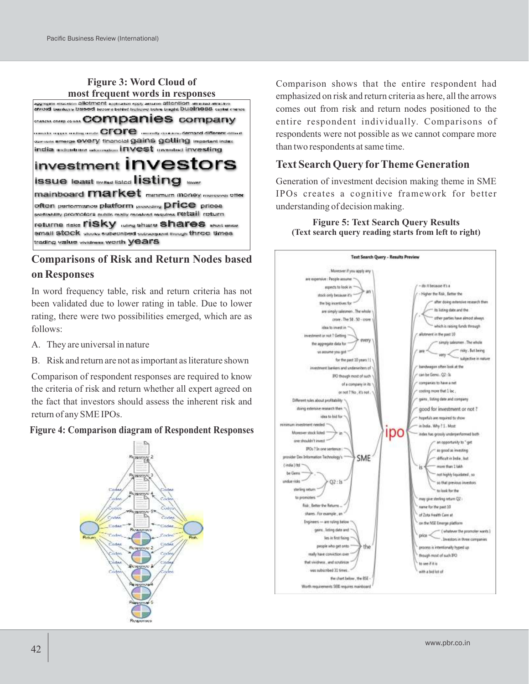# **Figure 3: Word Cloud of**



## **Comparisons of Risk and Return Nodes based on Responses**

In word frequency table, risk and return criteria has not been validated due to lower rating in table. Due to lower rating, there were two possibilities emerged, which are as follows:

- A. They are universal in nature
- B. Risk and return are not as important as literature shown

Comparison of respondent responses are required to know the criteria of risk and return whether all expert agreed on the fact that investors should assess the inherent risk and return of any SME IPOs.

#### **Figure 4: Comparison diagram of Respondent Responses**



Comparison shows that the entire respondent had emphasized on risk and return criteria as here, all the arrows comes out from risk and return nodes positioned to the entire respondent individually. Comparisons of respondents were not possible as we cannot compare more than two respondents at same time.

## **Text Search Query forTheme Generation**

Generation of investment decision making theme in SME IPOs creates a cognitive framework for better understanding of decision making.

**Figure 5: Text Search Query Results (Text search query reading starts from left to right)**

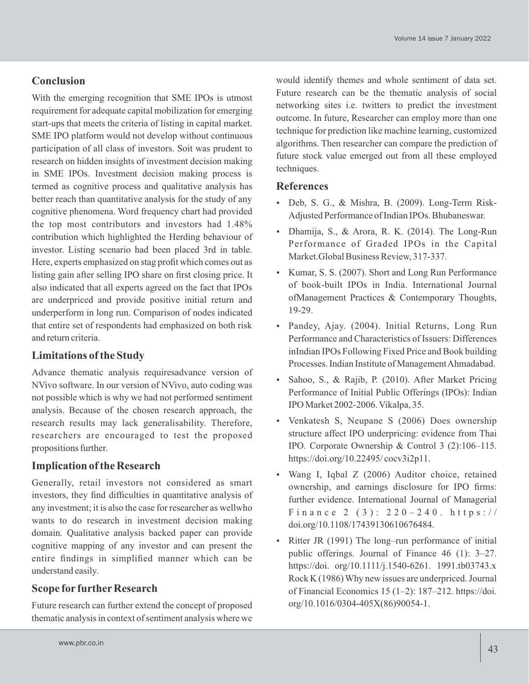## **Conclusion**

With the emerging recognition that SME IPOs is utmost requirement for adequate capital mobilization for emerging start-ups that meets the criteria of listing in capital market. SME IPO platform would not develop without continuous participation of all class of investors. Soit was prudent to research on hidden insights of investment decision making in SME IPOs. Investment decision making process is termed as cognitive process and qualitative analysis has better reach than quantitative analysis for the study of any cognitive phenomena. Word frequency chart had provided the top most contributors and investors had 1.48% contribution which highlighted the Herding behaviour of investor. Listing scenario had been placed 3rd in table. Here, experts emphasized on stag profit which comes out as listing gain after selling IPO share on first closing price. It also indicated that all experts agreed on the fact that IPOs are underpriced and provide positive initial return and underperform in long run. Comparison of nodes indicated that entire set of respondents had emphasized on both risk and return criteria.

## **Limitations of the Study**

Advance thematic analysis requiresadvance version of NVivo software. In our version of NVivo, auto coding was not possible which is why we had not performed sentiment analysis. Because of the chosen research approach, the research results may lack generalisability. Therefore, researchers are encouraged to test the proposed propositions further.

## **Implication of the Research**

Generally, retail investors not considered as smart investors, they find difficulties in quantitative analysis of any investment; it is also the case for researcher as wellwho wants to do research in investment decision making domain. Qualitative analysis backed paper can provide cognitive mapping of any investor and can present the entire findings in simplified manner which can be understand easily.

## **Scope for further Research**

Future research can further extend the concept of proposed thematic analysis in context of sentiment analysis where we

would identify themes and whole sentiment of data set. Future research can be the thematic analysis of social networking sites i.e. twitters to predict the investment outcome. In future, Researcher can employ more than one technique for prediction like machine learning, customized algorithms. Then researcher can compare the prediction of future stock value emerged out from all these employed techniques.

## **References**

- Deb, S. G., & Mishra, B. (2009). Long-Term Risk-Adjusted Performance of Indian IPOs. Bhubaneswar.
- Dhamija, S., & Arora, R. K. (2014). The Long-Run Performance of Graded IPOs in the Capital Market.Global Business Review, 317-337.
- Kumar, S. S. (2007). Short and Long Run Performance of book-built IPOs in India. International Journal ofManagement Practices & Contemporary Thoughts, 19-29.
- Pandey, Ajay. (2004). Initial Returns, Long Run Performance and Characteristics of Issuers: Differences inIndian IPOs Following Fixed Price and Book building Processes. Indian Institute of Management Ahmadabad.
- Sahoo, S., & Rajib, P. (2010). After Market Pricing Performance of Initial Public Offerings (IPOs): Indian IPO Market 2002-2006. Vikalpa, 35.
- Venkatesh S, Neupane S (2006) Does ownership structure affect IPO underpricing: evidence from Thai IPO. Corporate Ownership & Control 3 (2):106–115. https://doi.org/10.22495/ cocv3i2p11.
- Wang I, Iqbal Z (2006) Auditor choice, retained ownership, and earnings disclosure for IPO firms: further evidence. International Journal of Managerial Finance 2 (3):  $220 - 240$ . https:// doi.org/10.1108/17439130610676484.
- Ritter JR (1991) The long–run performance of initial public offerings. Journal of Finance 46 (1): 3–27. https://doi. org/10.1111/j.1540-6261. 1991.tb03743.x Rock K (1986) Why new issues are underpriced. Journal of Financial Economics 15 (1–2):  $187-212$ . https://doi. org/10.1016/0304-405X(86)90054-1.